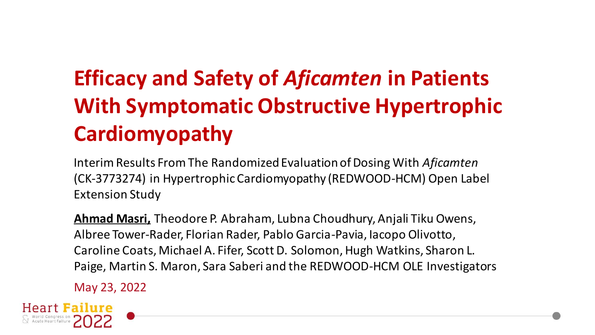# **Efficacy and Safety of** *Aficamten* **in Patients With Symptomatic Obstructive Hypertrophic Cardiomyopathy**

Interim Results From The Randomized Evaluation of Dosing With *Aficamten*  (CK-3773274) in Hypertrophic Cardiomyopathy (REDWOOD-HCM) Open Label Extension Study

**Ahmad Masri,** Theodore P. Abraham, Lubna Choudhury, Anjali Tiku Owens, Albree Tower-Rader, Florian Rader, Pablo Garcia-Pavia, Iacopo Olivotto, Caroline Coats, Michael A. Fifer, Scott D. Solomon, Hugh Watkins, Sharon L. Paige, Martin S. Maron, Sara Saberi and the REDWOOD-HCM OLE Investigators

May 23, 2022

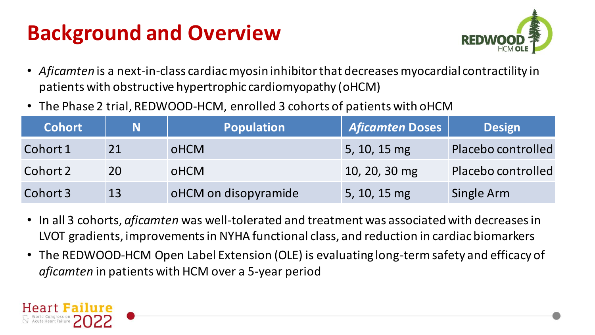# **Background and Overview**



- *Aficamten* is a next-in-class cardiac myosin inhibitor that decreases myocardial contractility in patients with obstructive hypertrophic cardiomyopathy (oHCM)
- The Phase 2 trial, REDWOOD-HCM, enrolled 3 cohorts of patients with oHCM

| <b>Cohort</b> | N  | Population           | <b>Aficamten Doses</b> | <b>Design</b>      |
|---------------|----|----------------------|------------------------|--------------------|
| Cohort 1      | 21 | <b>OHCM</b>          | 5, 10, 15 mg           | Placebo controlled |
| Cohort 2      | 20 | <b>oHCM</b>          | 10, 20, 30 mg          | Placebo controlled |
| Cohort 3      | 13 | oHCM on disopyramide | 5, 10, 15 mg           | Single Arm         |

- In all 3 cohorts, *aficamten* was well-tolerated and treatment was associated with decreases in LVOT gradients, improvements in NYHA functional class, and reduction in cardiac biomarkers
- The REDWOOD-HCM Open Label Extension (OLE) is evaluating long-term safety and efficacy of *aficamten* in patients with HCM over a 5-year period

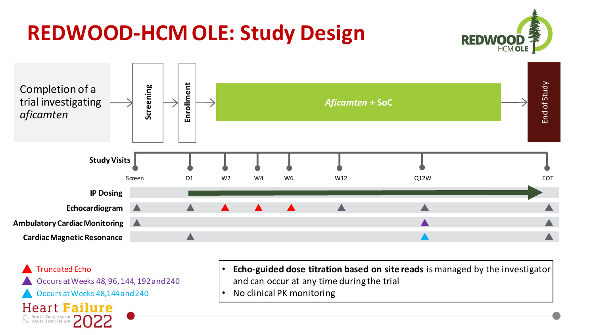# **REDWOOD-HCM OLE: Study Design**





Truncated Echo Occurs at Weeks 48, 96, 144, 192 and 240 Occurs at Weeks 48,144 and 240 **Heart Failure**  $\sum$  World Congress on<br> $\sum$  Acute Heart Failure

- **Echo-guided dose titration based on site reads** is managed by the investigator and can occur at any time during the trial
- No clinical PK monitoring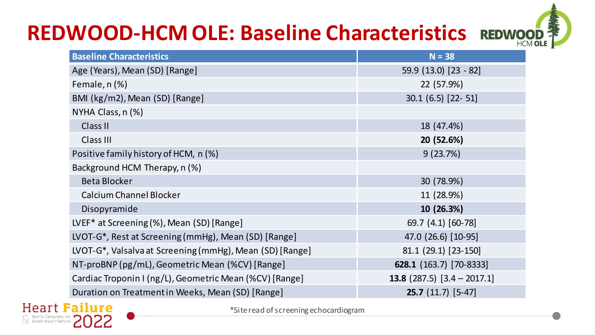# **REDWOOD-HCM OLE: Baseline Characteristics**



| <b>Baseline Characteristics</b>                          | $N = 38$                             |
|----------------------------------------------------------|--------------------------------------|
| Age (Years), Mean (SD) [Range]                           | 59.9 (13.0) [23 - 82]                |
| Female, n (%)                                            | 22 (57.9%)                           |
| BMI (kg/m2), Mean (SD) [Range]                           | 30.1 (6.5) [22-51]                   |
| NYHA Class, n (%)                                        |                                      |
| Class II                                                 | 18 (47.4%)                           |
| Class III                                                | 20 (52.6%)                           |
| Positive family history of HCM, n (%)                    | 9(23.7%)                             |
| Background HCM Therapy, n (%)                            |                                      |
| Beta Blocker                                             | 30 (78.9%)                           |
| Calcium Channel Blocker                                  | 11 (28.9%)                           |
| Disopyramide                                             | 10 (26.3%)                           |
| LVEF* at Screening (%), Mean (SD) [Range]                | 69.7 (4.1) [60-78]                   |
| LVOT-G*, Rest at Screening (mmHg), Mean (SD) [Range]     | 47.0 (26.6) [10-95]                  |
| LVOT-G*, Valsalva at Screening (mmHg), Mean (SD) [Range] | 81.1 (29.1) [23-150]                 |
| NT-proBNP (pg/mL), Geometric Mean (%CV) [Range]          | 628.1 (163.7) [70-8333]              |
| Cardiac Troponin I (ng/L), Geometric Mean (%CV) [Range]  | <b>13.8</b> (287.5) $[3.4 - 2017.1]$ |
| Duration on Treatment in Weeks, Mean (SD) [Range]        | $25.7(11.7)[5-47]$                   |



\*Site read of screening echocardiogram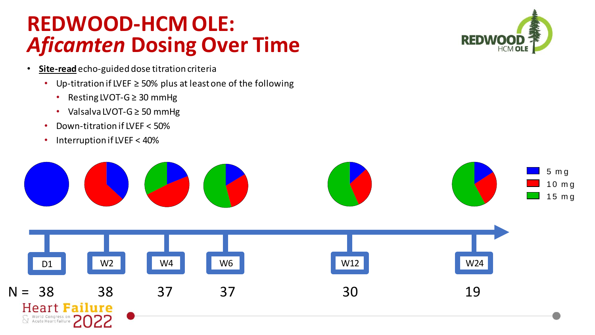### **REDWOOD-HCM OLE:**  *Aficamten* **Dosing Over Time**

- **Site-read**echo-guided dose titration criteria
	- Up-titration if LVEF ≥ 50% plus at least one of the following
		- Resting LVOT-G ≥ 30 mmHg
		- Valsalva LVOT-G ≥ 50 mmHg
	- Down-titration if LVEF < 50%
	- Interruption if LVEF < 40%



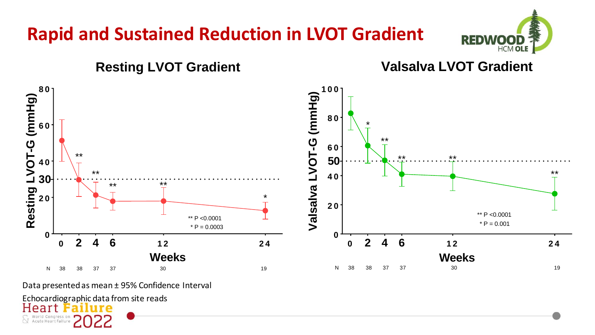### **Rapid and Sustained Reduction in LVOT Gradient**





Data presented as mean ± 95% Confidence Interval

Echocardiographic data from site reads<br>Heart Failure Acute Heart Failure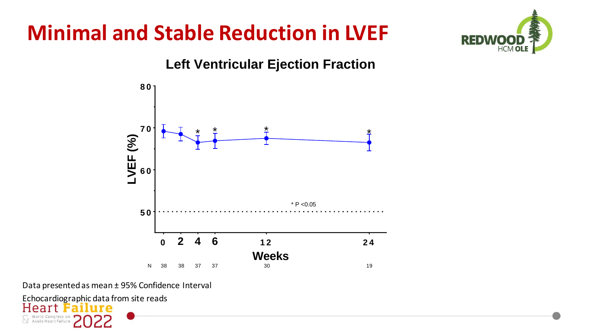# **Minimal and Stable Reduction in LVEF**





Data presented as mean ± 95% Confidence Interval

Echocardiographic data from site reads<br>Heart Failure a  $\bigvee$  Acute Heart Failure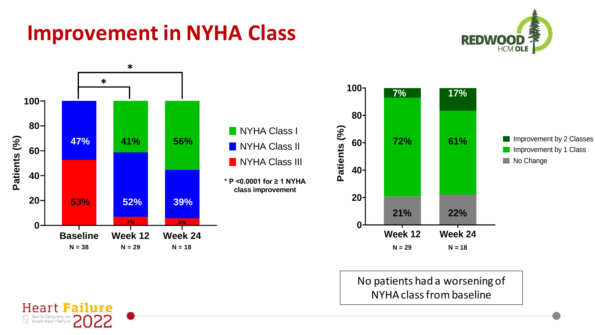### **Improvement in NYHA Class**

**Heart Failure** 

World Congress on<br>
N Acute Heart Failure





No patients had a worsening of NYHA class from baseline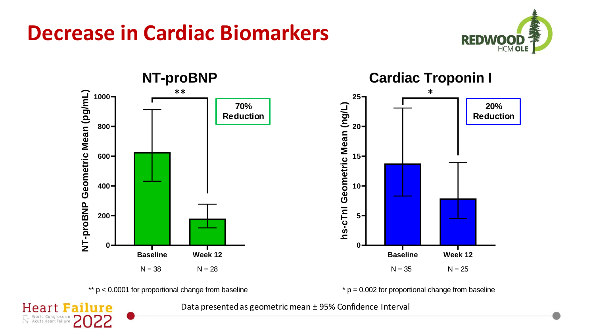







 $* p = 0.002$  for proportional change from baseline

**Heart Failure** World Congress on<br>
X Acute Heart Failure

Data presented as geometric mean ± 95% Confidence Interval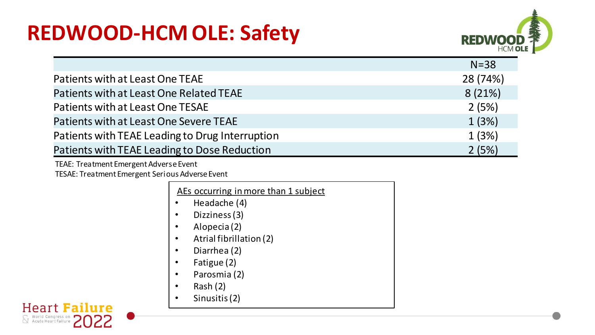### **REDWOOD-HCM OLE: Safety**



|                                                 | $N = 38$ |
|-------------------------------------------------|----------|
| Patients with at Least One TEAE                 | 28 (74%) |
| Patients with at Least One Related TEAE         | 8(21%)   |
| Patients with at Least One TESAE                | 2(5%)    |
| Patients with at Least One Severe TEAE          | 1(3%)    |
| Patients with TEAE Leading to Drug Interruption | 1(3%)    |
| Patients with TEAE Leading to Dose Reduction    | 2(5%)    |

TEAE: Treatment Emergent Adverse Event

TESAE: Treatment Emergent Serious Adverse Event

| AEs occurring in more than 1 subject |
|--------------------------------------|
|--------------------------------------|

- Headache (4)
- Dizziness (3)
- Alopecia (2)
- Atrial fibrillation (2)
- Diarrhea (2)
- Fatigue (2)
- Parosmia (2)
- Rash (2)
- Sinusitis (2)

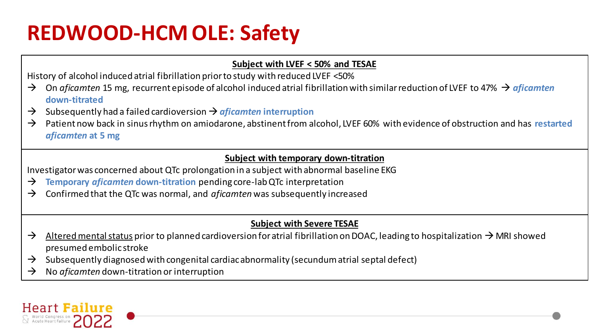## **REDWOOD-HCM OLE: Safety**

#### **Subject with LVEF < 50% and TESAE**

History of alcohol induced atrial fibrillation prior to study with reduced LVEF <50%

- → On *aficamten* 15 mg, recurrent episode of alcohol induced atrial fibrillation with similar reduction of LVEF to 47% → *aficamten*  **down-titrated**
- → Subsequently had a failed cardioversion →*aficamten* **interruption**
- → Patient now back in sinus rhythm on amiodarone, abstinent from alcohol, LVEF 60% with evidence of obstruction and has **restarted**  *aficamten* **at 5 mg**

#### **Subject with temporary down-titration**

Investigator was concerned about QTc prolongation in a subject with abnormal baseline EKG

- → **Temporary** *aficamten* **down-titration** pending core-lab QTc interpretation
- → Confirmed that the QTc was normal, and *aficamten* was subsequently increased

#### **Subject with Severe TESAE**

- $\rightarrow$  Altered mental status prior to planned cardioversion for atrial fibrillation on DOAC, leading to hospitalization  $\rightarrow$  MRI showed presumed embolic stroke
- $\rightarrow$  Subsequently diagnosed with congenital cardiac abnormality (secundum atrial septal defect)
- → No *aficamten* down-titration or interruption